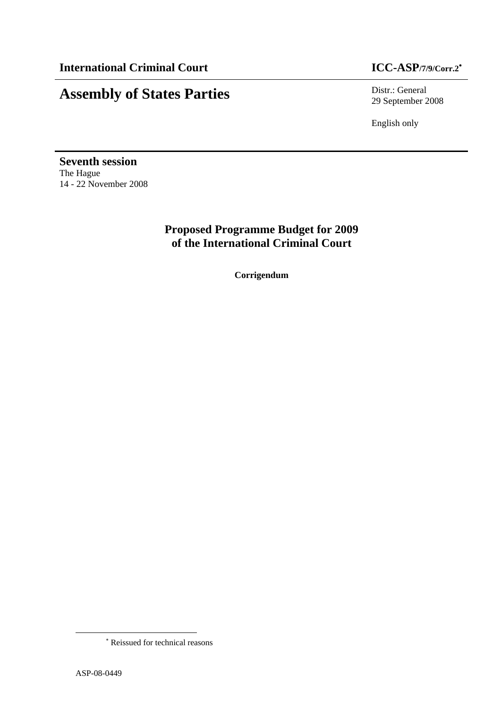# **Assembly of States Parties** Distr.: General

29 September 2008

English only

**Seventh session**  The Hague 14 - 22 November 2008

> **Proposed Programme Budget for 2009 of the International Criminal Court**

> > **Corrigendum**

 $\overline{\phantom{a}}$ 

<sup>∗</sup> Reissued for technical reasons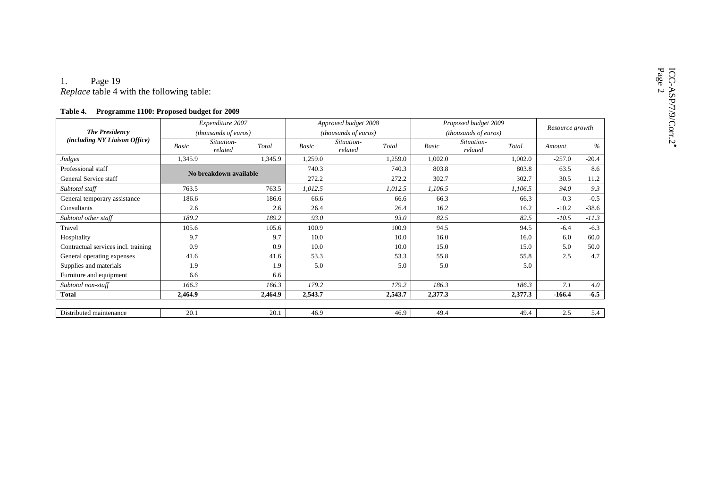# 1. Page 19<br>*Replace* table 4 with the following table:

#### **Table 4. Programme 1100: Proposed budget for 2009**

|                                     |              | Expenditure 2007               |              | Approved budget 2008           |              | Proposed budget 2009           | Resource growth |         |
|-------------------------------------|--------------|--------------------------------|--------------|--------------------------------|--------------|--------------------------------|-----------------|---------|
| <b>The Presidency</b>               |              | (thousands of euros)           |              | (thousands of euros)           |              | (thousands of euros)           |                 |         |
| (including NY Liaison Office)       | <b>Basic</b> | Situation-<br>Total<br>related | <b>Basic</b> | Situation-<br>Total<br>related | <b>Basic</b> | Situation-<br>Total<br>related | Amount          | $\%$    |
| Judges                              | 1,345.9      | 1,345.9                        | 1,259.0      | 1,259.0                        | 1,002.0      | 1,002.0                        | $-257.0$        | $-20.4$ |
| Professional staff                  |              | No breakdown available         | 740.3        | 740.3                          | 803.8        | 803.8                          | 63.5            | 8.6     |
| General Service staff               |              |                                | 272.2        | 272.2                          | 302.7        | 302.7                          | 30.5            | 11.2    |
| Subtotal staff                      | 763.5        | 763.5                          | 1,012.5      | 1,012.5                        | 1,106.5      | 1,106.5                        | 94.0            | 9.3     |
| General temporary assistance        | 186.6        | 186.6                          | 66.6         | 66.6                           | 66.3         | 66.3                           | $-0.3$          | $-0.5$  |
| Consultants                         | 2.6          | 2.6                            | 26.4         | 26.4                           | 16.2         | 16.2                           | $-10.2$         | $-38.6$ |
| Subtotal other staff                | 189.2        | 189.2                          | 93.0         | 93.0                           | 82.5         | 82.5                           | $-10.5$         | $-11.3$ |
| Travel                              | 105.6        | 105.6                          | 100.9        | 100.9                          | 94.5         | 94.5                           | $-6.4$          | $-6.3$  |
| Hospitality                         | 9.7          | 9.7                            | 10.0         | 10.0                           | 16.0         | 16.0                           | 6.0             | 60.0    |
| Contractual services incl. training | 0.9          | 0.9                            | 10.0         | 10.0                           | 15.0         | 15.0                           | 5.0             | 50.0    |
| General operating expenses          | 41.6         | 41.6                           | 53.3         | 53.3                           | 55.8         | 55.8                           | 2.5             | 4.7     |
| Supplies and materials              | 1.9          | 1.9                            | 5.0          | 5.0                            | 5.0          | 5.0                            |                 |         |
| Furniture and equipment             | 6.6          | 6.6                            |              |                                |              |                                |                 |         |
| Subtotal non-staff                  | 166.3        | 166.3                          | 179.2        | 179.2                          | 186.3        | 186.3                          | 7.1             | 4.0     |
| <b>Total</b>                        | 2,464.9      | 2,464.9                        | 2,543.7      | 2,543.7                        | 2,377.3      | 2,377.3                        | $-166.4$        | $-6.5$  |
|                                     |              |                                |              |                                |              |                                |                 |         |
| Distributed maintenance             | 20.1         | 20.1                           | 46.9         | 46.9                           | 49.4         | 49.4                           | 2.5             | 5.4     |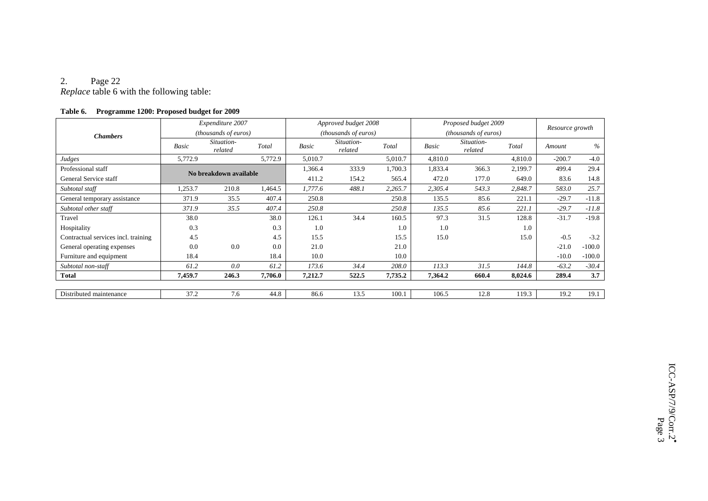#### 2.Page 22

*Replace* table 6 with the following table:

| 1 avie 0.<br><b>Programme 1200: Proposed budget for 2009</b> |         |                               |         |         |                       |         |                      |                               |         |                 |          |  |
|--------------------------------------------------------------|---------|-------------------------------|---------|---------|-----------------------|---------|----------------------|-------------------------------|---------|-----------------|----------|--|
|                                                              |         | Expenditure 2007              |         |         | Approved budget 2008  |         | Proposed budget 2009 |                               |         | Resource growth |          |  |
| <b>Chambers</b>                                              |         | ( <i>thousands of euros</i> ) |         |         | (thousands of euros)  |         |                      | ( <i>thousands of euros</i> ) |         |                 |          |  |
|                                                              | Basic   | Situation-<br>related         | Total   | Basic   | Situation-<br>related | Total   | Basic                | Situation-<br>related         | Total   | Amount          | %        |  |
| Judges                                                       | 5,772.9 |                               | 5,772.9 | 5,010.7 |                       | 5,010.7 | 4,810.0              |                               | 4,810.0 | $-200.7$        | $-4.0$   |  |
| Professional staff                                           |         | No breakdown available        |         | 1,366.4 | 333.9                 | 1,700.3 | 1,833.4              | 366.3                         | 2,199.7 | 499.4           | 29.4     |  |
| General Service staff                                        |         |                               |         | 411.2   | 154.2                 | 565.4   | 472.0                | 177.0                         | 649.0   | 83.6            | 14.8     |  |
| Subtotal staff                                               | 1,253.7 | 210.8                         | 1,464.5 | 1,777.6 | 488.1                 | 2,265.7 | 2,305.4              | 543.3                         | 2,848.7 | 583.0           | 25.7     |  |
| General temporary assistance                                 | 371.9   | 35.5                          | 407.4   | 250.8   |                       | 250.8   | 135.5                | 85.6                          | 221.1   | $-29.7$         | $-11.8$  |  |
| Subtotal other staff                                         | 371.9   | 35.5                          | 407.4   | 250.8   |                       | 250.8   | 135.5                | 85.6                          | 221.1   | $-29.7$         | $-11.8$  |  |
| Travel                                                       | 38.0    |                               | 38.0    | 126.1   | 34.4                  | 160.5   | 97.3                 | 31.5                          | 128.8   | $-31.7$         | $-19.8$  |  |
| Hospitality                                                  | 0.3     |                               | 0.3     | 1.0     |                       | 1.0     | 1.0                  |                               | 1.0     |                 |          |  |
| Contractual services incl. training                          | 4.5     |                               | 4.5     | 15.5    |                       | 15.5    | 15.0                 |                               | 15.0    | $-0.5$          | $-3.2$   |  |
| General operating expenses                                   | 0.0     | 0.0                           | 0.0     | 21.0    |                       | 21.0    |                      |                               |         | $-21.0$         | $-100.0$ |  |
| Furniture and equipment                                      | 18.4    |                               | 18.4    | 10.0    |                       | 10.0    |                      |                               |         | $-10.0$         | $-100.0$ |  |
| Subtotal non-staff                                           | 61.2    | 0.0                           | 61.2    | 173.6   | 34.4                  | 208.0   | 113.3                | 31.5                          | 144.8   | $-63.2$         | $-30.4$  |  |
| <b>Total</b>                                                 | 7,459.7 | 246.3                         | 7,706.0 | 7,212.7 | 522.5                 | 7,735.2 | 7,364.2              | 660.4                         | 8,024.6 | 289.4           | 3.7      |  |
|                                                              |         |                               |         |         |                       |         |                      |                               |         |                 |          |  |
| Distributed maintenance                                      | 37.2    | 7.6                           | 44.8    | 86.6    | 13.5                  | 100.1   | 106.5                | 12.8                          | 119.3   | 19.2            | 19.1     |  |

#### **Table 6. Programme 1200: Proposed budget for 2009**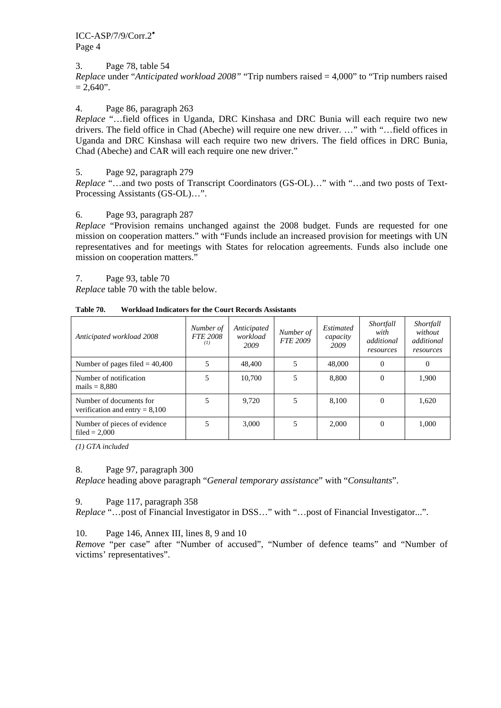#### 3. Page 78, table 54

*Replace* under "*Anticipated workload 2008"* "Trip numbers raised = 4,000" to "Trip numbers raised  $= 2,640"$ .

#### 4. Page 86, paragraph 263

*Replace* "…field offices in Uganda, DRC Kinshasa and DRC Bunia will each require two new drivers. The field office in Chad (Abeche) will require one new driver. …" with "…field offices in Uganda and DRC Kinshasa will each require two new drivers. The field offices in DRC Bunia, Chad (Abeche) and CAR will each require one new driver."

#### 5. Page 92, paragraph 279

*Replace* "…and two posts of Transcript Coordinators (GS-OL)…" with "…and two posts of Text-Processing Assistants (GS-OL)…".

#### 6. Page 93, paragraph 287

*Replace* "Provision remains unchanged against the 2008 budget. Funds are requested for one mission on cooperation matters." with "Funds include an increased provision for meetings with UN representatives and for meetings with States for relocation agreements. Funds also include one mission on cooperation matters."

7. Page 93, table 70

*Replace* table 70 with the table below.

| Anticipated workload 2008                                   | Number of<br><b>FTE 2008</b><br>(1) | Anticipated<br>workload<br>2009 | Number of<br><b>FTE 2009</b> | <i>Estimated</i><br>capacity<br>2009 | Shortfall<br>with<br>additional<br>resources | Shortfall<br>without<br>additional<br>resources |
|-------------------------------------------------------------|-------------------------------------|---------------------------------|------------------------------|--------------------------------------|----------------------------------------------|-------------------------------------------------|
| Number of pages filed $= 40,400$                            | 5                                   | 48,400                          |                              | 48,000                               | 0                                            | $\Omega$                                        |
| Number of notification<br>$mails = 8,880$                   | 5                                   | 10.700                          | 5                            | 8,800                                | 0                                            | 1,900                                           |
| Number of documents for<br>verification and entry $= 8,100$ | 5                                   | 9.720                           | 5                            | 8,100                                | 0                                            | 1,620                                           |
| Number of pieces of evidence<br>filed $= 2.000$             | 5                                   | 3,000                           | 5                            | 2,000                                | 0                                            | 1,000                                           |

**Table 70. Workload Indicators for the Court Records Assistants** 

*(1) GTA included* 

#### 8. Page 97, paragraph 300

*Replace* heading above paragraph "*General temporary assistance*" with "*Consultants*".

#### 9. Page 117, paragraph 358

*Replace* "…post of Financial Investigator in DSS…" with "…post of Financial Investigator...".

10. Page 146, Annex III, lines 8, 9 and 10

*Remove* "per case" after "Number of accused", "Number of defence teams" and "Number of victims' representatives".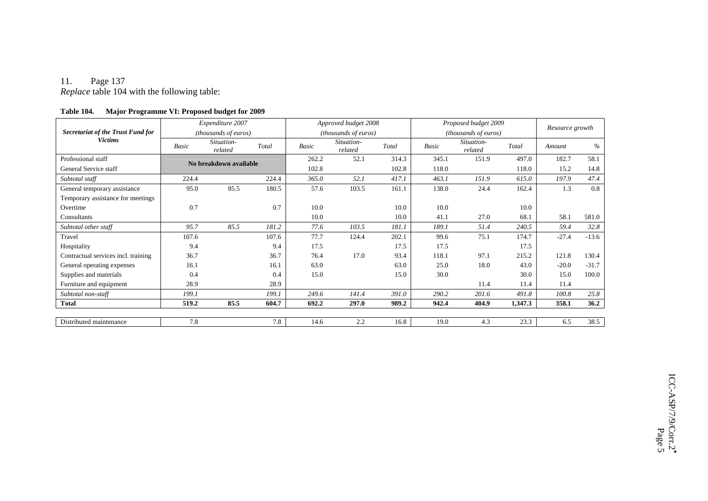#### 11. Page 137

*Replace* table 104 with the following table:

|                                     | Expenditure 2007<br>(thousands of euros) |                       |                        |       | Approved budget 2008  |       | Proposed budget 2009 |                       |         | Resource growth |         |
|-------------------------------------|------------------------------------------|-----------------------|------------------------|-------|-----------------------|-------|----------------------|-----------------------|---------|-----------------|---------|
| Secretariat of the Trust Fund for   |                                          |                       |                        |       | (thousands of euros)  |       | (thousands of euros) |                       |         |                 |         |
| <b>Victims</b>                      | Basic                                    | Situation-<br>related | Total                  | Basic | Situation-<br>related | Total | Basic                | Situation-<br>related | Total   | Amount          | $\%$    |
| Professional staff                  |                                          |                       |                        | 262.2 | 52.1                  | 314.3 | 345.1                | 151.9                 | 497.0   | 182.7           | 58.1    |
| General Service staff               |                                          |                       | No breakdown available |       |                       | 102.8 | 118.0                |                       | 118.0   | 15.2            | 14.8    |
| Subtotal staff                      | 224.4                                    |                       | 224.4                  | 365.0 | 52.1                  | 417.1 | 463.1                | 151.9                 | 615.0   | 197.9           | 47.4    |
| General temporary assistance        | 95.0                                     | 85.5                  | 180.5                  | 57.6  | 103.5                 | 161.1 | 138.0                | 24.4                  | 162.4   | 1.3             | 0.8     |
| Temporary assistance for meetings   |                                          |                       |                        |       |                       |       |                      |                       |         |                 |         |
| Overtime                            | 0.7                                      |                       | 0.7                    | 10.0  |                       | 10.0  | 10.0                 |                       | 10.0    |                 |         |
| Consultants                         |                                          |                       |                        | 10.0  |                       | 10.0  | 41.1                 | 27.0                  | 68.1    | 58.1            | 581.0   |
| Subtotal other staff                | 95.7                                     | 85.5                  | 181.2                  | 77.6  | 103.5                 | 181.1 | 189.1                | 51.4                  | 240.5   | 59.4            | 32.8    |
| Travel                              | 107.6                                    |                       | 107.6                  | 77.7  | 124.4                 | 202.1 | 99.6                 | 75.1                  | 174.7   | $-27.4$         | $-13.6$ |
| Hospitality                         | 9.4                                      |                       | 9.4                    | 17.5  |                       | 17.5  | 17.5                 |                       | 17.5    |                 |         |
| Contractual services incl. training | 36.7                                     |                       | 36.7                   | 76.4  | 17.0                  | 93.4  | 118.1                | 97.1                  | 215.2   | 121.8           | 130.4   |
| General operating expenses          | 16.1                                     |                       | 16.1                   | 63.0  |                       | 63.0  | 25.0                 | 18.0                  | 43.0    | $-20.0$         | $-31.7$ |
| Supplies and materials              | 0.4                                      |                       | 0.4                    | 15.0  |                       | 15.0  | 30.0                 |                       | 30.0    | 15.0            | 100.0   |
| Furniture and equipment             | 28.9                                     |                       | 28.9                   |       |                       |       |                      | 11.4                  | 11.4    | 11.4            |         |
| Subtotal non-staff                  | 199.1                                    |                       | 199.1                  | 249.6 | 141.4                 | 391.0 | 290.2                | 201.6                 | 491.8   | 100.8           | 25.8    |
| <b>Total</b>                        | 519.2                                    | 85.5                  | 604.7                  | 692.2 | 297.0                 | 989.2 | 942.4                | 404.9                 | 1,347.3 | 358.1           | 36.2    |
|                                     |                                          |                       |                        |       |                       |       |                      |                       |         |                 |         |
| Distributed maintenance             | 7.8                                      |                       | 7.8                    | 14.6  | 2.2                   | 16.8  | 19.0                 | 4.3                   | 23.3    | 6.5             | 38.5    |

#### **Table 104. Major Programme VI: Proposed budget for 2009**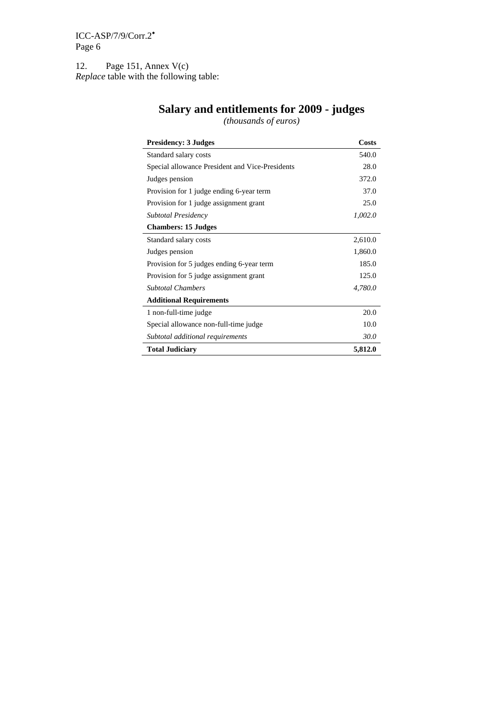12. Page 151, Annex V(c) *Replace* table with the following table:

| <b>Presidency: 3 Judges</b>                     | <b>Costs</b> |
|-------------------------------------------------|--------------|
| Standard salary costs                           | 540.0        |
| Special allowance President and Vice-Presidents | 28.0         |
| Judges pension                                  | 372.0        |
| Provision for 1 judge ending 6-year term        | 37.0         |
| Provision for 1 judge assignment grant          | 25.0         |
| <b>Subtotal Presidency</b>                      | 1,002.0      |
| <b>Chambers: 15 Judges</b>                      |              |
| Standard salary costs                           | 2,610.0      |
| Judges pension                                  | 1,860.0      |
| Provision for 5 judges ending 6-year term       | 185.0        |
| Provision for 5 judge assignment grant          | 125.0        |
| <b>Subtotal Chambers</b>                        | 4,780.0      |
| <b>Additional Requirements</b>                  |              |
| 1 non-full-time judge                           | 20.0         |
| Special allowance non-full-time judge           | 10.0         |
| Subtotal additional requirements                | 30.0         |
| <b>Total Judiciary</b>                          | 5,812.0      |

#### **Salary and entitlements for 2009 - judges**

*(thousands of euros)*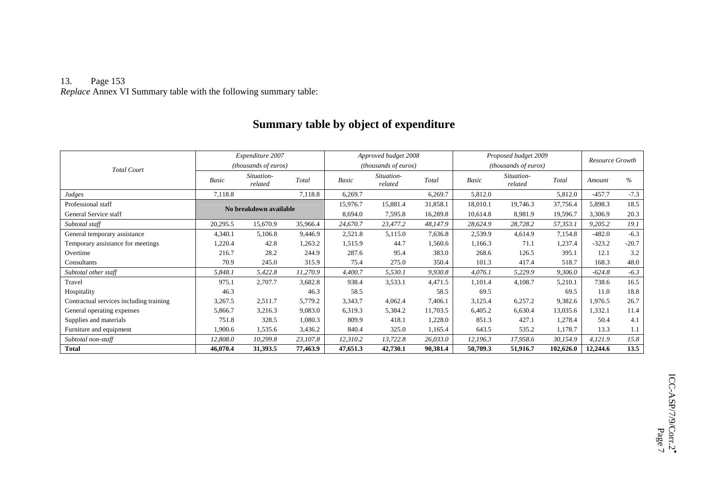#### 13. Page 153 *Replace* Annex VI Summary table with the following summary table:

## **Summary table by object of expenditure**

|                                         |                        | Expenditure 2007      |          | Approved budget 2008 |                       |          | Proposed budget 2009 |                       |           | <b>Resource Growth</b> |         |
|-----------------------------------------|------------------------|-----------------------|----------|----------------------|-----------------------|----------|----------------------|-----------------------|-----------|------------------------|---------|
| <b>Total Court</b>                      | (thousands of euros)   |                       |          | (thousands of euros) |                       |          | (thousands of euros) |                       |           |                        |         |
|                                         | Basic                  | Situation-<br>related | Total    | Basic                | Situation-<br>related | Total    | <b>Basic</b>         | Situation-<br>related | Total     | Amount                 | $\%$    |
| Judges                                  | 7,118.8                |                       | 7,118.8  | 6,269.7              |                       | 6,269.7  | 5,812.0              |                       | 5,812.0   | $-457.7$               | $-7.3$  |
| Professional staff                      |                        |                       |          | 15,976.7             | 15,881.4              | 31,858.1 | 18,010.1             | 19,746.3              | 37,756.4  | 5,898.3                | 18.5    |
| General Service staff                   | No breakdown available |                       | 8,694.0  | 7,595.8              | 16,289.8              | 10,614.8 | 8,981.9              | 19,596.7              | 3,306.9   | 20.3                   |         |
| Subtotal staff                          | 20,295.5               | 15,670.9              | 35,966.4 | 24,670.7             | 23,477.2              | 48,147.9 | 28,624.9             | 28,728.2              | 57,353.1  | 9,205.2                | 19.1    |
| General temporary assistance            | 4,340.1                | 5,106.8               | 9,446.9  | 2,521.8              | 5,115.0               | 7,636.8  | 2,539.9              | 4,614.9               | 7,154.8   | $-482.0$               | $-6.3$  |
| Temporary assistance for meetings       | 1,220.4                | 42.8                  | 1,263.2  | 1,515.9              | 44.7                  | 1,560.6  | 1,166.3              | 71.1                  | 1,237.4   | $-323.2$               | $-20.7$ |
| Overtime                                | 216.7                  | 28.2                  | 244.9    | 287.6                | 95.4                  | 383.0    | 268.6                | 126.5                 | 395.1     | 12.1                   | 3.2     |
| Consultants                             | 70.9                   | 245.0                 | 315.9    | 75.4                 | 275.0                 | 350.4    | 101.3                | 417.4                 | 518.7     | 168.3                  | 48.0    |
| Subtotal other staff                    | 5,848.1                | 5,422.8               | 11,270.9 | 4,400.7              | 5,530.1               | 9,930.8  | 4,076.1              | 5,229.9               | 9,306.0   | $-624.8$               | $-6.3$  |
| Travel                                  | 975.1                  | 2,707.7               | 3,682.8  | 938.4                | 3,533.1               | 4,471.5  | 1,101.4              | 4,108.7               | 5,210.1   | 738.6                  | 16.5    |
| Hospitality                             | 46.3                   |                       | 46.3     | 58.5                 |                       | 58.5     | 69.5                 |                       | 69.5      | 11.0                   | 18.8    |
| Contractual services including training | 3,267.5                | 2,511.7               | 5,779.2  | 3,343.7              | 4,062.4               | 7,406.1  | 3,125.4              | 6,257.2               | 9,382.6   | 1,976.5                | 26.7    |
| General operating expenses              | 5,866.7                | 3,216.3               | 9,083.0  | 6,319.3              | 5,384.2               | 11,703.5 | 6,405.2              | 6,630.4               | 13,035.6  | 1,332.1                | 11.4    |
| Supplies and materials                  | 751.8                  | 328.5                 | 1,080.3  | 809.9                | 418.1                 | 1,228.0  | 851.3                | 427.1                 | 1,278.4   | 50.4                   | 4.1     |
| Furniture and equipment                 | 1,900.6                | 1,535.6               | 3,436.2  | 840.4                | 325.0                 | 1,165.4  | 643.5                | 535.2                 | 1,178.7   | 13.3                   | 1.1     |
| Subtotal non-staff                      | 12,808.0               | 10,299.8              | 23,107.8 | 12,310.2             | 13,722.8              | 26,033.0 | 12,196.3             | 17,958.6              | 30,154.9  | 4,121.9                | 15.8    |
| <b>Total</b>                            | 46,070.4               | 31,393.5              | 77,463.9 | 47,651.3             | 42,730.1              | 90,381.4 | 50,709.3             | 51,916.7              | 102,626.0 | 12,244.6               | 13.5    |